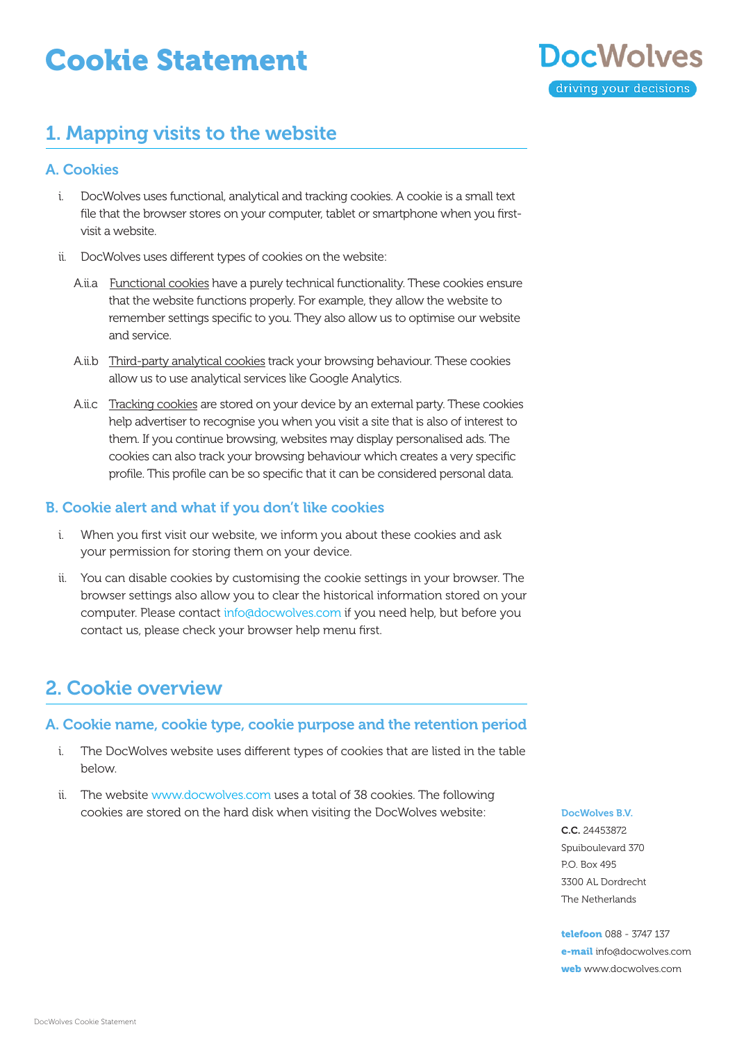# Cookie Statement



## 1. Mapping visits to the website

### A. Cookies

- i. DocWolves uses functional, analytical and tracking cookies. A cookie is a small text file that the browser stores on your computer, tablet or smartphone when you firstvisit a website.
- ii. DocWolves uses different types of cookies on the website:
	- A.ii.a Functional cookies have a purely technical functionality. These cookies ensure that the website functions properly. For example, they allow the website to remember settings specific to you. They also allow us to optimise our website and service.
	- A.ii.b Third-party analytical cookies track your browsing behaviour. These cookies allow us to use analytical services like Google Analytics.
	- A.ii.c Tracking cookies are stored on your device by an external party. These cookies help advertiser to recognise you when you visit a site that is also of interest to them. If you continue browsing, websites may display personalised ads. The cookies can also track your browsing behaviour which creates a very specific profile. This profile can be so specific that it can be considered personal data.

### B. Cookie alert and what if you don't like cookies

- i. When you first visit our website, we inform you about these cookies and ask your permission for storing them on your device.
- ii. You can disable cookies by customising the cookie settings in your browser. The browser settings also allow you to clear the historical information stored on your computer. Please contact [info@docwolves.](mailto:info%40docwolves.com?subject=)com if you need help, but before you contact us, please check your browser help menu first.

# 2. Cookie overview

### A. Cookie name, cookie type, cookie purpose and the retention period

- i. The DocWolves website uses different types of cookies that are listed in the table below.
- ii. The website [www.docwolves.c](http://www.docwolves.com)om uses a total of 38 cookies. The following cookies are stored on the hard disk when visiting the DocWolves website: DocWolves B.V.

C.C. 24453872 Spuiboulevard 370 P.O. Box 495 3300 AL Dordrecht The Netherlands

telefoon 088 - 3747 137 e-mail [info@docwolves.com](mailto:info%40docwolves.com?subject=) web [www.docwolves.](https://www.docwolves.com)com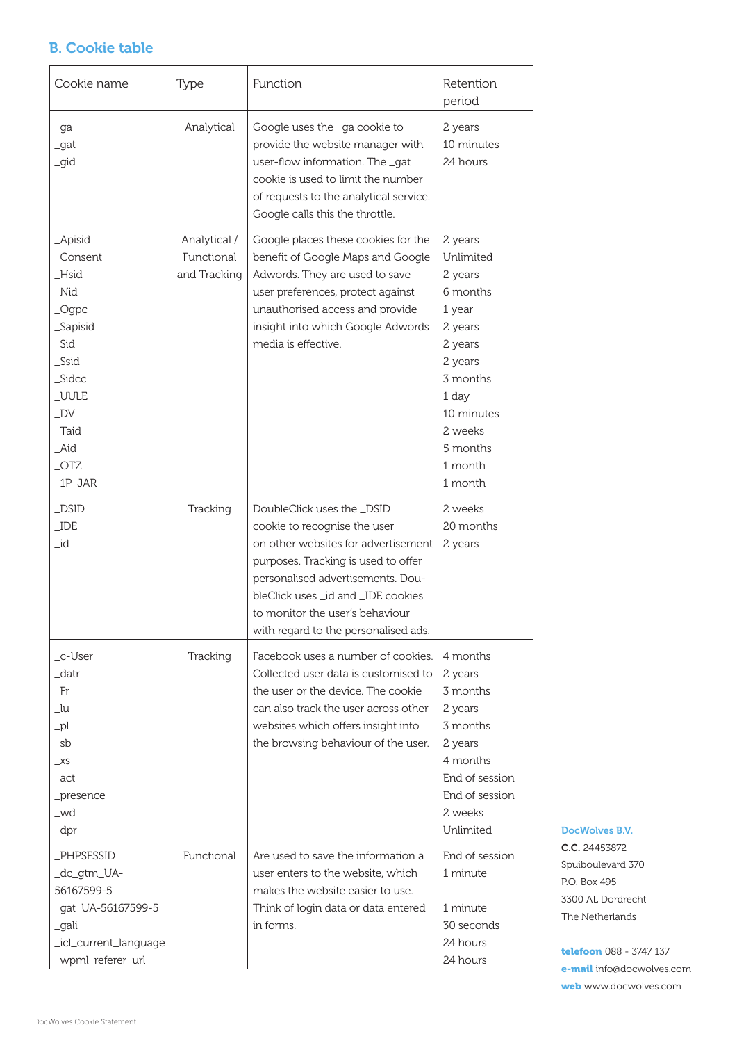### B. Cookie table

| Cookie name                                                                                                                                                  | Type                                       | Function                                                                                                                                                                                                                                                                                     | Retention<br>period                                                                                                                                                    |
|--------------------------------------------------------------------------------------------------------------------------------------------------------------|--------------------------------------------|----------------------------------------------------------------------------------------------------------------------------------------------------------------------------------------------------------------------------------------------------------------------------------------------|------------------------------------------------------------------------------------------------------------------------------------------------------------------------|
| _ga<br>_gat<br>_gid                                                                                                                                          | Analytical                                 | Google uses the _ga cookie to<br>provide the website manager with<br>user-flow information. The _gat<br>cookie is used to limit the number<br>of requests to the analytical service.<br>Google calls this the throttle.                                                                      | 2 years<br>10 minutes<br>24 hours                                                                                                                                      |
| _Apisid<br>_Consent<br>_Hsid<br>_Nid<br>$\_\text{Ogpc}$<br>_Sapisid<br>_Sid<br>_Ssid<br>Sidcc<br>_UULE<br>$\_DV$<br>$\_T$ aid<br>_Aid<br>$\_$ OTZ<br>_1P_JAR | Analytical /<br>Functional<br>and Tracking | Google places these cookies for the<br>benefit of Google Maps and Google<br>Adwords. They are used to save<br>user preferences, protect against<br>unauthorised access and provide<br>insight into which Google Adwords<br>media is effective.                                               | 2 years<br>Unlimited<br>2 years<br>6 months<br>1 year<br>2 years<br>2 years<br>2 years<br>3 months<br>1 day<br>10 minutes<br>2 weeks<br>5 months<br>1 month<br>1 month |
| $_D$ SID<br>$\_IDE$<br>_id                                                                                                                                   | Tracking                                   | DoubleClick uses the _DSID<br>cookie to recognise the user<br>on other websites for advertisement<br>purposes. Tracking is used to offer<br>personalised advertisements. Dou-<br>bleClick uses id and IDE cookies<br>to monitor the user's behaviour<br>with regard to the personalised ads. | 2 weeks<br>20 months<br>2 years                                                                                                                                        |
| _c-User<br>_datr<br>Fr<br>_lu<br>$_{\rm pl}$<br>_sb<br>$\_XS$<br>_act<br>_presence<br>_wd<br>$\lnot$ dpr                                                     | Tracking                                   | Facebook uses a number of cookies.<br>Collected user data is customised to<br>the user or the device. The cookie<br>can also track the user across other<br>websites which offers insight into<br>the browsing behaviour of the user.                                                        | 4 months<br>2 years<br>3 months<br>2 years<br>3 months<br>2 years<br>4 months<br>End of session<br>End of session<br>2 weeks<br>Unlimited                              |
| _PHPSESSID<br>_dc_gtm_UA-<br>56167599-5<br>_gat_UA-56167599-5<br>_gali<br>_icl_current_language<br>_wpml_referer_url                                         | Functional                                 | Are used to save the information a<br>user enters to the website, which<br>makes the website easier to use.<br>Think of login data or data entered<br>in forms.                                                                                                                              | End of session<br>1 minute<br>1 minute<br>30 seconds<br>24 hours<br>24 hours                                                                                           |

DocWolves B.V. C.C. 24453872

Spuiboulevard 370 P.O. Box 495 3300 AL Dordrecht The Netherlands

telefoon 088 - 3747 137 e-mail [info@docwolves.com](mailto:info%40docwolves.com?subject=) web [www.docwolves.](https://www.docwolves.com)com